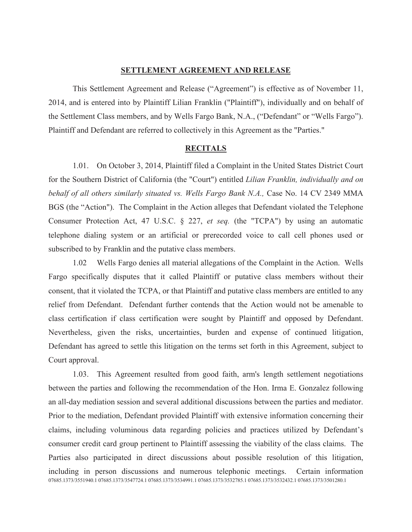# SETTLEMENT AGREEMENT AND RELEASE

This Settlement Agreement and Release ("Agreement") is effective as of November 11, 2014, and is entered into by Plaintiff Lilian Franklin ("Plaintiff"), individually and on behalf of the Settlement Class members, and by Wells Fargo Bank, N.A., ("Defendant" or "Wells Fargo"). Plaintiff and Defendant are referred to collectively in this Agreement as the "Parties."

### RECITALS

1.01. On October 3, 2014, Plaintiff filed a Complaint in the United States District Court for the Southern District of California (the "Court") entitled Lilian Franklin, individually and on behalf of all others similarly situated vs. Wells Fargo Bank N.A., Case No. 14 CV 2349 MMA BGS (the "Action"). The Complaint in the Action alleges that Defendant violated the Telephone Consumer Protection Act, 47 U.S.C. § 227, et seq. (the "TCPA") by using an automatic telephone dialing system or an artificial or prerecorded voice to call cell phones used or subscribed to by Franklin and the putative class members.

1.02 Wells Fargo denies all material allegations of the Complaint in the Action. Wells Fargo specifically disputes that it called Plaintiff or putative class members without their consent, that it violated the TCPA, or that Plaintiff and putative class members are entitled to any relief from Defendant. Defendant further contends that the Action would not be amenable to class certification if class certification were sought by Plaintiff and opposed by Defendant. Nevertheless, given the risks, uncertainties, burden and expense of continued litigation, Defendant has agreed to settle this litigation on the terms set forth in this Agreement, subject to Court approval.

07685.1373/3551940.1 07685.1373/3547724.1 07685.1373/3534991.1 07685.1373/3532785.1 07685.1373/3532432.1 07685.1373/3501280.1 1.03. This Agreement resulted from good faith, arm's length settlement negotiations between the parties and following the recommendation of the Hon. Irma E. Gonzalez following an all-day mediation session and several additional discussions between the parties and mediator. Prior to the mediation, Defendant provided Plaintiff with extensive information concerning their claims, including voluminous data regarding policies and practices utilized by Defendant's consumer credit card group pertinent to Plaintiff assessing the viability of the class claims. The Parties also participated in direct discussions about possible resolution of this litigation, including in person discussions and numerous telephonic meetings. Certain information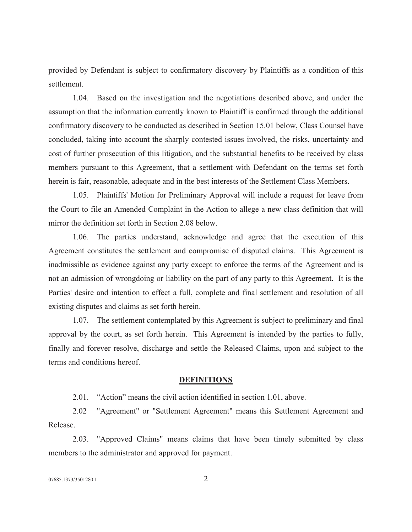provided by Defendant is subject to confirmatory discovery by Plaintiffs as a condition of this settlement.

1.04. Based on the investigation and the negotiations described above, and under the assumption that the information currently known to Plaintiff is confirmed through the additional confirmatory discovery to be conducted as described in Section 15.01 below, Class Counsel have concluded, taking into account the sharply contested issues involved, the risks, uncertainty and cost of further prosecution of this litigation, and the substantial benefits to be received by class members pursuant to this Agreement, that a settlement with Defendant on the terms set forth herein is fair, reasonable, adequate and in the best interests of the Settlement Class Members.

1.05. Plaintiffs' Motion for Preliminary Approval will include a request for leave from the Court to file an Amended Complaint in the Action to allege a new class definition that will mirror the definition set forth in Section 2.08 below.

1.06. The parties understand, acknowledge and agree that the execution of this Agreement constitutes the settlement and compromise of disputed claims. This Agreement is inadmissible as evidence against any party except to enforce the terms of the Agreement and is not an admission of wrongdoing or liability on the part of any party to this Agreement. It is the Parties' desire and intention to effect a full, complete and final settlement and resolution of all existing disputes and claims as set forth herein.

1.07. The settlement contemplated by this Agreement is subject to preliminary and final approval by the court, as set forth herein. This Agreement is intended by the parties to fully, finally and forever resolve, discharge and settle the Released Claims, upon and subject to the terms and conditions hereof.

### **DEFINITIONS**

2.01. "Action" means the civil action identified in section 1.01, above.

2.02 "Agreement" or "Settlement Agreement" means this Settlement Agreement and Release.

2.03. "Approved Claims" means claims that have been timely submitted by class members to the administrator and approved for payment.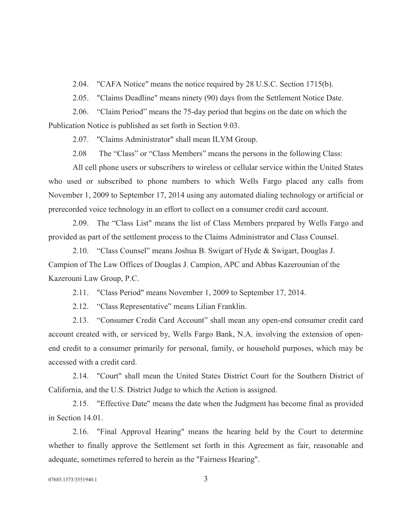2.04. "CAFA Notice" means the notice required by 28 U.S.C. Section 1715(b).

2.05. "Claims Deadline" means ninety (90) days from the Settlement Notice Date.

 2.06. "Claim Period" means the 75-day period that begins on the date on which the Publication Notice is published as set forth in Section 9.03.

2.07. "Claims Administrator" shall mean ILYM Group.

2.08 The "Class" or "Class Members" means the persons in the following Class:

All cell phone users or subscribers to wireless or cellular service within the United States who used or subscribed to phone numbers to which Wells Fargo placed any calls from November 1, 2009 to September 17, 2014 using any automated dialing technology or artificial or prerecorded voice technology in an effort to collect on a consumer credit card account.

2.09. The "Class List" means the list of Class Members prepared by Wells Fargo and provided as part of the settlement process to the Claims Administrator and Class Counsel.

 2.10. "Class Counsel" means Joshua B. Swigart of Hyde & Swigart, Douglas J. Campion of The Law Offices of Douglas J. Campion, APC and Abbas Kazerounian of the Kazerouni Law Group, P.C.

2.11. "Class Period" means November 1, 2009 to September 17, 2014.

2.12. "Class Representative" means Lilian Franklin.

2.13. "Consumer Credit Card Account" shall mean any open-end consumer credit card account created with, or serviced by, Wells Fargo Bank, N.A. involving the extension of openend credit to a consumer primarily for personal, family, or household purposes, which may be accessed with a credit card.

2.14. "Court" shall mean the United States District Court for the Southern District of California, and the U.S. District Judge to which the Action is assigned.

2.15. "Effective Date" means the date when the Judgment has become final as provided in Section 14.01.

2.16. "Final Approval Hearing" means the hearing held by the Court to determine whether to finally approve the Settlement set forth in this Agreement as fair, reasonable and adequate, sometimes referred to herein as the "Fairness Hearing".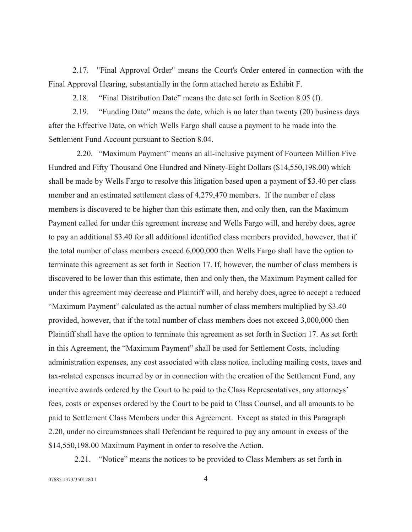2.17. "Final Approval Order" means the Court's Order entered in connection with the Final Approval Hearing, substantially in the form attached hereto as Exhibit F.

2.18. "Final Distribution Date" means the date set forth in Section 8.05 (f).

 2.19. "Funding Date" means the date, which is no later than twenty (20) business days after the Effective Date, on which Wells Fargo shall cause a payment to be made into the Settlement Fund Account pursuant to Section 8.04.

 2.20. "Maximum Payment" means an all-inclusive payment of Fourteen Million Five Hundred and Fifty Thousand One Hundred and Ninety-Eight Dollars (\$14,550,198.00) which shall be made by Wells Fargo to resolve this litigation based upon a payment of \$3.40 per class member and an estimated settlement class of 4,279,470 members. If the number of class members is discovered to be higher than this estimate then, and only then, can the Maximum Payment called for under this agreement increase and Wells Fargo will, and hereby does, agree to pay an additional \$3.40 for all additional identified class members provided, however, that if the total number of class members exceed 6,000,000 then Wells Fargo shall have the option to terminate this agreement as set forth in Section 17. If, however, the number of class members is discovered to be lower than this estimate, then and only then, the Maximum Payment called for under this agreement may decrease and Plaintiff will, and hereby does, agree to accept a reduced "Maximum Payment" calculated as the actual number of class members multiplied by \$3.40 provided, however, that if the total number of class members does not exceed 3,000,000 then Plaintiff shall have the option to terminate this agreement as set forth in Section 17. As set forth in this Agreement, the "Maximum Payment" shall be used for Settlement Costs, including administration expenses, any cost associated with class notice, including mailing costs, taxes and tax-related expenses incurred by or in connection with the creation of the Settlement Fund, any incentive awards ordered by the Court to be paid to the Class Representatives, any attorneys' fees, costs or expenses ordered by the Court to be paid to Class Counsel, and all amounts to be paid to Settlement Class Members under this Agreement. Except as stated in this Paragraph 2.20, under no circumstances shall Defendant be required to pay any amount in excess of the \$14,550,198.00 Maximum Payment in order to resolve the Action.

2.21. "Notice" means the notices to be provided to Class Members as set forth in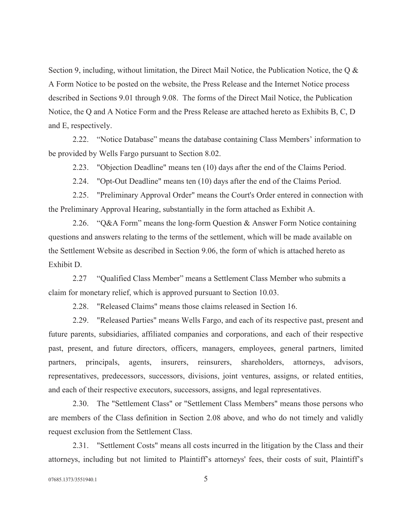Section 9, including, without limitation, the Direct Mail Notice, the Publication Notice, the Q & A Form Notice to be posted on the website, the Press Release and the Internet Notice process described in Sections 9.01 through 9.08. The forms of the Direct Mail Notice, the Publication Notice, the Q and A Notice Form and the Press Release are attached hereto as Exhibits B, C, D and E, respectively.

 2.22. "Notice Database" means the database containing Class Members' information to be provided by Wells Fargo pursuant to Section 8.02.

2.23. "Objection Deadline" means ten (10) days after the end of the Claims Period.

2.24. "Opt-Out Deadline" means ten (10) days after the end of the Claims Period.

2.25. "Preliminary Approval Order" means the Court's Order entered in connection with the Preliminary Approval Hearing, substantially in the form attached as Exhibit A.

 2.26. "Q&A Form" means the long-form Question & Answer Form Notice containing questions and answers relating to the terms of the settlement, which will be made available on the Settlement Website as described in Section 9.06, the form of which is attached hereto as Exhibit D.

 2.27 "Qualified Class Member" means a Settlement Class Member who submits a claim for monetary relief, which is approved pursuant to Section 10.03.

2.28. "Released Claims" means those claims released in Section 16.

2.29. "Released Parties" means Wells Fargo, and each of its respective past, present and future parents, subsidiaries, affiliated companies and corporations, and each of their respective past, present, and future directors, officers, managers, employees, general partners, limited partners, principals, agents, insurers, reinsurers, shareholders, attorneys, advisors, representatives, predecessors, successors, divisions, joint ventures, assigns, or related entities, and each of their respective executors, successors, assigns, and legal representatives.

2.30. The "Settlement Class" or "Settlement Class Members" means those persons who are members of the Class definition in Section 2.08 above, and who do not timely and validly request exclusion from the Settlement Class.

2.31. "Settlement Costs" means all costs incurred in the litigation by the Class and their attorneys, including but not limited to Plaintiff's attorneys' fees, their costs of suit, Plaintiff's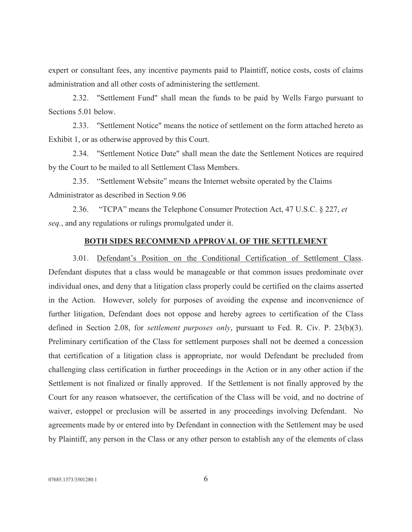expert or consultant fees, any incentive payments paid to Plaintiff, notice costs, costs of claims administration and all other costs of administering the settlement.

2.32. "Settlement Fund" shall mean the funds to be paid by Wells Fargo pursuant to Sections 5.01 below.

2.33. "Settlement Notice" means the notice of settlement on the form attached hereto as Exhibit 1, or as otherwise approved by this Court.

2.34. "Settlement Notice Date" shall mean the date the Settlement Notices are required by the Court to be mailed to all Settlement Class Members.

 2.35. "Settlement Website" means the Internet website operated by the Claims Administrator as described in Section 9.06

2.36. "TCPA" means the Telephone Consumer Protection Act, 47 U.S.C. § 227, et seq., and any regulations or rulings promulgated under it.

### BOTH SIDES RECOMMEND APPROVAL OF THE SETTLEMENT

3.01. Defendant's Position on the Conditional Certification of Settlement Class. Defendant disputes that a class would be manageable or that common issues predominate over individual ones, and deny that a litigation class properly could be certified on the claims asserted in the Action. However, solely for purposes of avoiding the expense and inconvenience of further litigation, Defendant does not oppose and hereby agrees to certification of the Class defined in Section 2.08, for *settlement purposes only*, pursuant to Fed. R. Civ. P. 23(b)(3). Preliminary certification of the Class for settlement purposes shall not be deemed a concession that certification of a litigation class is appropriate, nor would Defendant be precluded from challenging class certification in further proceedings in the Action or in any other action if the Settlement is not finalized or finally approved. If the Settlement is not finally approved by the Court for any reason whatsoever, the certification of the Class will be void, and no doctrine of waiver, estoppel or preclusion will be asserted in any proceedings involving Defendant. No agreements made by or entered into by Defendant in connection with the Settlement may be used by Plaintiff, any person in the Class or any other person to establish any of the elements of class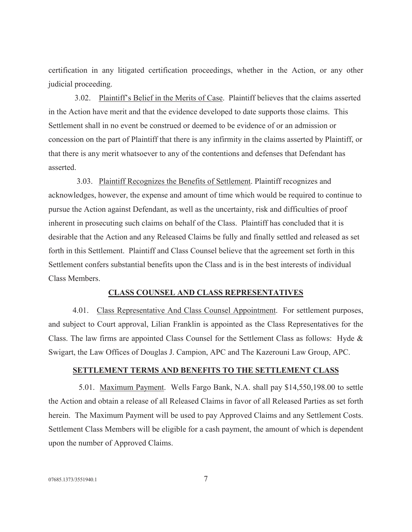certification in any litigated certification proceedings, whether in the Action, or any other judicial proceeding.

 3.02. Plaintiff's Belief in the Merits of Case. Plaintiff believes that the claims asserted in the Action have merit and that the evidence developed to date supports those claims. This Settlement shall in no event be construed or deemed to be evidence of or an admission or concession on the part of Plaintiff that there is any infirmity in the claims asserted by Plaintiff, or that there is any merit whatsoever to any of the contentions and defenses that Defendant has asserted.

 3.03. Plaintiff Recognizes the Benefits of Settlement. Plaintiff recognizes and acknowledges, however, the expense and amount of time which would be required to continue to pursue the Action against Defendant, as well as the uncertainty, risk and difficulties of proof inherent in prosecuting such claims on behalf of the Class. Plaintiff has concluded that it is desirable that the Action and any Released Claims be fully and finally settled and released as set forth in this Settlement. Plaintiff and Class Counsel believe that the agreement set forth in this Settlement confers substantial benefits upon the Class and is in the best interests of individual Class Members.

#### CLASS COUNSEL AND CLASS REPRESENTATIVES

4.01. Class Representative And Class Counsel Appointment. For settlement purposes, and subject to Court approval, Lilian Franklin is appointed as the Class Representatives for the Class. The law firms are appointed Class Counsel for the Settlement Class as follows: Hyde & Swigart, the Law Offices of Douglas J. Campion, APC and The Kazerouni Law Group, APC.

#### SETTLEMENT TERMS AND BENEFITS TO THE SETTLEMENT CLASS

 5.01. Maximum Payment. Wells Fargo Bank, N.A. shall pay \$14,550,198.00 to settle the Action and obtain a release of all Released Claims in favor of all Released Parties as set forth herein. The Maximum Payment will be used to pay Approved Claims and any Settlement Costs. Settlement Class Members will be eligible for a cash payment, the amount of which is dependent upon the number of Approved Claims.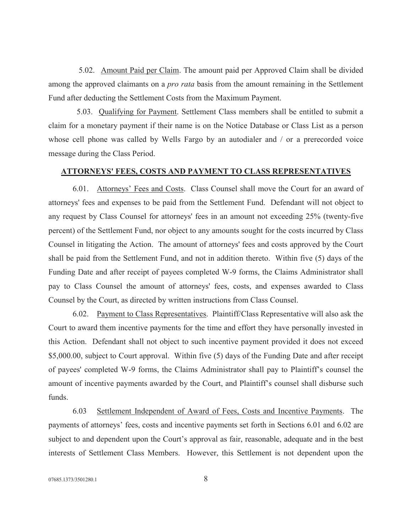5.02. Amount Paid per Claim. The amount paid per Approved Claim shall be divided among the approved claimants on a *pro rata* basis from the amount remaining in the Settlement Fund after deducting the Settlement Costs from the Maximum Payment.

 5.03. Qualifying for Payment. Settlement Class members shall be entitled to submit a claim for a monetary payment if their name is on the Notice Database or Class List as a person whose cell phone was called by Wells Fargo by an autodialer and / or a prerecorded voice message during the Class Period.

### ATTORNEYS' FEES, COSTS AND PAYMENT TO CLASS REPRESENTATIVES

6.01. Attorneys' Fees and Costs. Class Counsel shall move the Court for an award of attorneys' fees and expenses to be paid from the Settlement Fund. Defendant will not object to any request by Class Counsel for attorneys' fees in an amount not exceeding 25% (twenty-five percent) of the Settlement Fund, nor object to any amounts sought for the costs incurred by Class Counsel in litigating the Action. The amount of attorneys' fees and costs approved by the Court shall be paid from the Settlement Fund, and not in addition thereto. Within five (5) days of the Funding Date and after receipt of payees completed W-9 forms, the Claims Administrator shall pay to Class Counsel the amount of attorneys' fees, costs, and expenses awarded to Class Counsel by the Court, as directed by written instructions from Class Counsel.

6.02. Payment to Class Representatives. Plaintiff/Class Representative will also ask the Court to award them incentive payments for the time and effort they have personally invested in this Action. Defendant shall not object to such incentive payment provided it does not exceed \$5,000.00, subject to Court approval. Within five (5) days of the Funding Date and after receipt of payees' completed W-9 forms, the Claims Administrator shall pay to Plaintiff's counsel the amount of incentive payments awarded by the Court, and Plaintiff's counsel shall disburse such funds.

6.03 Settlement Independent of Award of Fees, Costs and Incentive Payments. The payments of attorneys' fees, costs and incentive payments set forth in Sections 6.01 and 6.02 are subject to and dependent upon the Court's approval as fair, reasonable, adequate and in the best interests of Settlement Class Members. However, this Settlement is not dependent upon the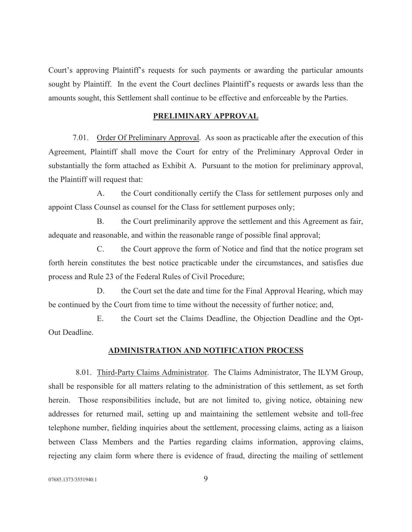Court's approving Plaintiff's requests for such payments or awarding the particular amounts sought by Plaintiff. In the event the Court declines Plaintiff's requests or awards less than the amounts sought, this Settlement shall continue to be effective and enforceable by the Parties.

# PRELIMINARY APPROVAL

7.01. Order Of Preliminary Approval. As soon as practicable after the execution of this Agreement, Plaintiff shall move the Court for entry of the Preliminary Approval Order in substantially the form attached as Exhibit A. Pursuant to the motion for preliminary approval, the Plaintiff will request that:

A. the Court conditionally certify the Class for settlement purposes only and appoint Class Counsel as counsel for the Class for settlement purposes only;

B. the Court preliminarily approve the settlement and this Agreement as fair, adequate and reasonable, and within the reasonable range of possible final approval;

C. the Court approve the form of Notice and find that the notice program set forth herein constitutes the best notice practicable under the circumstances, and satisfies due process and Rule 23 of the Federal Rules of Civil Procedure;

D. the Court set the date and time for the Final Approval Hearing, which may be continued by the Court from time to time without the necessity of further notice; and,

E. the Court set the Claims Deadline, the Objection Deadline and the Opt-Out Deadline.

#### ADMINISTRATION AND NOTIFICATION PROCESS

8.01. Third-Party Claims Administrator. The Claims Administrator, The ILYM Group, shall be responsible for all matters relating to the administration of this settlement, as set forth herein. Those responsibilities include, but are not limited to, giving notice, obtaining new addresses for returned mail, setting up and maintaining the settlement website and toll-free telephone number, fielding inquiries about the settlement, processing claims, acting as a liaison between Class Members and the Parties regarding claims information, approving claims, rejecting any claim form where there is evidence of fraud, directing the mailing of settlement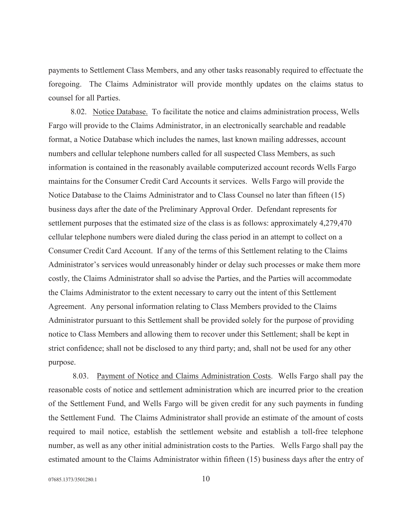payments to Settlement Class Members, and any other tasks reasonably required to effectuate the foregoing. The Claims Administrator will provide monthly updates on the claims status to counsel for all Parties.

 8.02. Notice Database. To facilitate the notice and claims administration process, Wells Fargo will provide to the Claims Administrator, in an electronically searchable and readable format, a Notice Database which includes the names, last known mailing addresses, account numbers and cellular telephone numbers called for all suspected Class Members, as such information is contained in the reasonably available computerized account records Wells Fargo maintains for the Consumer Credit Card Accounts it services. Wells Fargo will provide the Notice Database to the Claims Administrator and to Class Counsel no later than fifteen (15) business days after the date of the Preliminary Approval Order. Defendant represents for settlement purposes that the estimated size of the class is as follows: approximately 4,279,470 cellular telephone numbers were dialed during the class period in an attempt to collect on a Consumer Credit Card Account. If any of the terms of this Settlement relating to the Claims Administrator's services would unreasonably hinder or delay such processes or make them more costly, the Claims Administrator shall so advise the Parties, and the Parties will accommodate the Claims Administrator to the extent necessary to carry out the intent of this Settlement Agreement. Any personal information relating to Class Members provided to the Claims Administrator pursuant to this Settlement shall be provided solely for the purpose of providing notice to Class Members and allowing them to recover under this Settlement; shall be kept in strict confidence; shall not be disclosed to any third party; and, shall not be used for any other purpose.

8.03. Payment of Notice and Claims Administration Costs. Wells Fargo shall pay the reasonable costs of notice and settlement administration which are incurred prior to the creation of the Settlement Fund, and Wells Fargo will be given credit for any such payments in funding the Settlement Fund. The Claims Administrator shall provide an estimate of the amount of costs required to mail notice, establish the settlement website and establish a toll-free telephone number, as well as any other initial administration costs to the Parties. Wells Fargo shall pay the estimated amount to the Claims Administrator within fifteen (15) business days after the entry of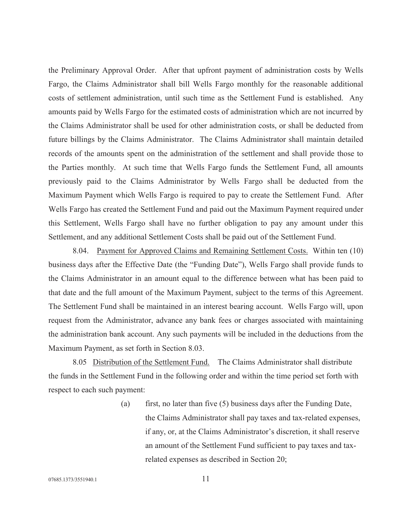the Preliminary Approval Order. After that upfront payment of administration costs by Wells Fargo, the Claims Administrator shall bill Wells Fargo monthly for the reasonable additional costs of settlement administration, until such time as the Settlement Fund is established. Any amounts paid by Wells Fargo for the estimated costs of administration which are not incurred by the Claims Administrator shall be used for other administration costs, or shall be deducted from future billings by the Claims Administrator. The Claims Administrator shall maintain detailed records of the amounts spent on the administration of the settlement and shall provide those to the Parties monthly. At such time that Wells Fargo funds the Settlement Fund, all amounts previously paid to the Claims Administrator by Wells Fargo shall be deducted from the Maximum Payment which Wells Fargo is required to pay to create the Settlement Fund. After Wells Fargo has created the Settlement Fund and paid out the Maximum Payment required under this Settlement, Wells Fargo shall have no further obligation to pay any amount under this Settlement, and any additional Settlement Costs shall be paid out of the Settlement Fund.

8.04. Payment for Approved Claims and Remaining Settlement Costs. Within ten (10) business days after the Effective Date (the "Funding Date"), Wells Fargo shall provide funds to the Claims Administrator in an amount equal to the difference between what has been paid to that date and the full amount of the Maximum Payment, subject to the terms of this Agreement. The Settlement Fund shall be maintained in an interest bearing account. Wells Fargo will, upon request from the Administrator, advance any bank fees or charges associated with maintaining the administration bank account. Any such payments will be included in the deductions from the Maximum Payment, as set forth in Section 8.03.

 8.05 Distribution of the Settlement Fund. The Claims Administrator shall distribute the funds in the Settlement Fund in the following order and within the time period set forth with respect to each such payment:

> (a) first, no later than five  $(5)$  business days after the Funding Date, the Claims Administrator shall pay taxes and tax-related expenses, if any, or, at the Claims Administrator's discretion, it shall reserve an amount of the Settlement Fund sufficient to pay taxes and taxrelated expenses as described in Section 20;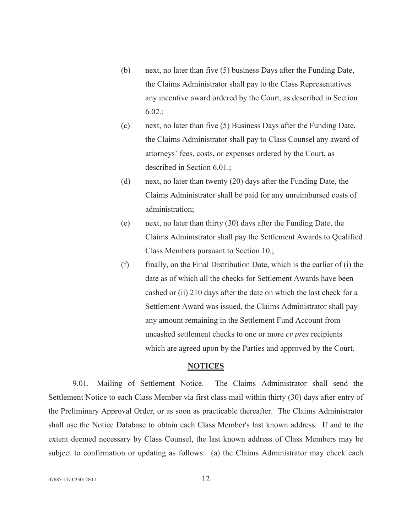- (b) next, no later than five (5) business Days after the Funding Date, the Claims Administrator shall pay to the Class Representatives any incentive award ordered by the Court, as described in Section 6.02.;
- (c) next, no later than five (5) Business Days after the Funding Date, the Claims Administrator shall pay to Class Counsel any award of attorneys' fees, costs, or expenses ordered by the Court, as described in Section 6.01.;
- (d) next, no later than twenty (20) days after the Funding Date, the Claims Administrator shall be paid for any unreimbursed costs of administration;
- (e) next, no later than thirty (30) days after the Funding Date, the Claims Administrator shall pay the Settlement Awards to Qualified Class Members pursuant to Section 10.;
- (f) finally, on the Final Distribution Date, which is the earlier of (i) the date as of which all the checks for Settlement Awards have been cashed or (ii) 210 days after the date on which the last check for a Settlement Award was issued, the Claims Administrator shall pay any amount remaining in the Settlement Fund Account from uncashed settlement checks to one or more cy pres recipients which are agreed upon by the Parties and approved by the Court.

# **NOTICES**

9.01. Mailing of Settlement Notice. The Claims Administrator shall send the Settlement Notice to each Class Member via first class mail within thirty (30) days after entry of the Preliminary Approval Order, or as soon as practicable thereafter. The Claims Administrator shall use the Notice Database to obtain each Class Member's last known address. If and to the extent deemed necessary by Class Counsel, the last known address of Class Members may be subject to confirmation or updating as follows: (a) the Claims Administrator may check each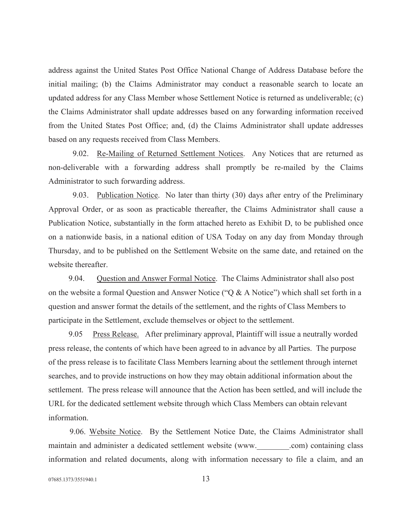address against the United States Post Office National Change of Address Database before the initial mailing; (b) the Claims Administrator may conduct a reasonable search to locate an updated address for any Class Member whose Settlement Notice is returned as undeliverable; (c) the Claims Administrator shall update addresses based on any forwarding information received from the United States Post Office; and, (d) the Claims Administrator shall update addresses based on any requests received from Class Members.

9.02. Re-Mailing of Returned Settlement Notices. Any Notices that are returned as non-deliverable with a forwarding address shall promptly be re-mailed by the Claims Administrator to such forwarding address.

9.03. Publication Notice. No later than thirty (30) days after entry of the Preliminary Approval Order, or as soon as practicable thereafter, the Claims Administrator shall cause a Publication Notice, substantially in the form attached hereto as Exhibit D, to be published once on a nationwide basis, in a national edition of USA Today on any day from Monday through Thursday, and to be published on the Settlement Website on the same date, and retained on the website thereafter.

 9.04. Question and Answer Formal Notice. The Claims Administrator shall also post on the website a formal Question and Answer Notice ("Q  $\&$  A Notice") which shall set forth in a question and answer format the details of the settlement, and the rights of Class Members to participate in the Settlement, exclude themselves or object to the settlement.

 9.05 Press Release. After preliminary approval, Plaintiff will issue a neutrally worded press release, the contents of which have been agreed to in advance by all Parties. The purpose of the press release is to facilitate Class Members learning about the settlement through internet searches, and to provide instructions on how they may obtain additional information about the settlement. The press release will announce that the Action has been settled, and will include the URL for the dedicated settlement website through which Class Members can obtain relevant information.

9.06. Website Notice. By the Settlement Notice Date, the Claims Administrator shall maintain and administer a dedicated settlement website (www. com) containing class information and related documents, along with information necessary to file a claim, and an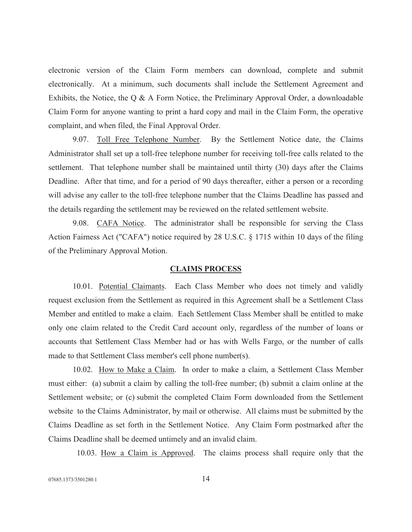electronic version of the Claim Form members can download, complete and submit electronically. At a minimum, such documents shall include the Settlement Agreement and Exhibits, the Notice, the Q & A Form Notice, the Preliminary Approval Order, a downloadable Claim Form for anyone wanting to print a hard copy and mail in the Claim Form, the operative complaint, and when filed, the Final Approval Order.

9.07. Toll Free Telephone Number. By the Settlement Notice date, the Claims Administrator shall set up a toll-free telephone number for receiving toll-free calls related to the settlement. That telephone number shall be maintained until thirty (30) days after the Claims Deadline. After that time, and for a period of 90 days thereafter, either a person or a recording will advise any caller to the toll-free telephone number that the Claims Deadline has passed and the details regarding the settlement may be reviewed on the related settlement website.

9.08. CAFA Notice. The administrator shall be responsible for serving the Class Action Fairness Act ("CAFA") notice required by 28 U.S.C. § 1715 within 10 days of the filing of the Preliminary Approval Motion.

#### CLAIMS PROCESS

10.01. Potential Claimants. Each Class Member who does not timely and validly request exclusion from the Settlement as required in this Agreement shall be a Settlement Class Member and entitled to make a claim. Each Settlement Class Member shall be entitled to make only one claim related to the Credit Card account only, regardless of the number of loans or accounts that Settlement Class Member had or has with Wells Fargo, or the number of calls made to that Settlement Class member's cell phone number(s).

10.02. How to Make a Claim. In order to make a claim, a Settlement Class Member must either: (a) submit a claim by calling the toll-free number; (b) submit a claim online at the Settlement website; or (c) submit the completed Claim Form downloaded from the Settlement website to the Claims Administrator, by mail or otherwise. All claims must be submitted by the Claims Deadline as set forth in the Settlement Notice. Any Claim Form postmarked after the Claims Deadline shall be deemed untimely and an invalid claim.

10.03. How a Claim is Approved. The claims process shall require only that the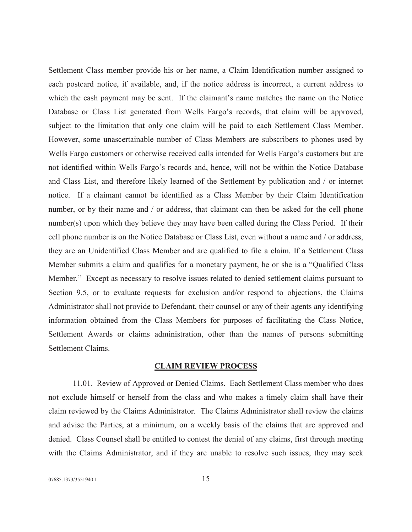Settlement Class member provide his or her name, a Claim Identification number assigned to each postcard notice, if available, and, if the notice address is incorrect, a current address to which the cash payment may be sent. If the claimant's name matches the name on the Notice Database or Class List generated from Wells Fargo's records, that claim will be approved, subject to the limitation that only one claim will be paid to each Settlement Class Member. However, some unascertainable number of Class Members are subscribers to phones used by Wells Fargo customers or otherwise received calls intended for Wells Fargo's customers but are not identified within Wells Fargo's records and, hence, will not be within the Notice Database and Class List, and therefore likely learned of the Settlement by publication and / or internet notice. If a claimant cannot be identified as a Class Member by their Claim Identification number, or by their name and / or address, that claimant can then be asked for the cell phone number(s) upon which they believe they may have been called during the Class Period. If their cell phone number is on the Notice Database or Class List, even without a name and / or address, they are an Unidentified Class Member and are qualified to file a claim. If a Settlement Class Member submits a claim and qualifies for a monetary payment, he or she is a "Qualified Class Member." Except as necessary to resolve issues related to denied settlement claims pursuant to Section 9.5, or to evaluate requests for exclusion and/or respond to objections, the Claims Administrator shall not provide to Defendant, their counsel or any of their agents any identifying information obtained from the Class Members for purposes of facilitating the Class Notice, Settlement Awards or claims administration, other than the names of persons submitting Settlement Claims.

#### CLAIM REVIEW PROCESS

11.01. Review of Approved or Denied Claims. Each Settlement Class member who does not exclude himself or herself from the class and who makes a timely claim shall have their claim reviewed by the Claims Administrator. The Claims Administrator shall review the claims and advise the Parties, at a minimum, on a weekly basis of the claims that are approved and denied. Class Counsel shall be entitled to contest the denial of any claims, first through meeting with the Claims Administrator, and if they are unable to resolve such issues, they may seek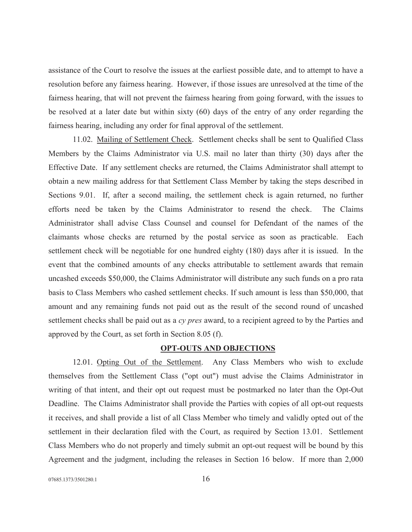assistance of the Court to resolve the issues at the earliest possible date, and to attempt to have a resolution before any fairness hearing. However, if those issues are unresolved at the time of the fairness hearing, that will not prevent the fairness hearing from going forward, with the issues to be resolved at a later date but within sixty (60) days of the entry of any order regarding the fairness hearing, including any order for final approval of the settlement.

11.02. Mailing of Settlement Check. Settlement checks shall be sent to Qualified Class Members by the Claims Administrator via U.S. mail no later than thirty (30) days after the Effective Date. If any settlement checks are returned, the Claims Administrator shall attempt to obtain a new mailing address for that Settlement Class Member by taking the steps described in Sections 9.01. If, after a second mailing, the settlement check is again returned, no further efforts need be taken by the Claims Administrator to resend the check. The Claims Administrator shall advise Class Counsel and counsel for Defendant of the names of the claimants whose checks are returned by the postal service as soon as practicable. Each settlement check will be negotiable for one hundred eighty (180) days after it is issued. In the event that the combined amounts of any checks attributable to settlement awards that remain uncashed exceeds \$50,000, the Claims Administrator will distribute any such funds on a pro rata basis to Class Members who cashed settlement checks. If such amount is less than \$50,000, that amount and any remaining funds not paid out as the result of the second round of uncashed settlement checks shall be paid out as a *cy pres* award, to a recipient agreed to by the Parties and approved by the Court, as set forth in Section 8.05 (f).

### OPT-OUTS AND OBJECTIONS

12.01. Opting Out of the Settlement. Any Class Members who wish to exclude themselves from the Settlement Class ("opt out") must advise the Claims Administrator in writing of that intent, and their opt out request must be postmarked no later than the Opt-Out Deadline. The Claims Administrator shall provide the Parties with copies of all opt-out requests it receives, and shall provide a list of all Class Member who timely and validly opted out of the settlement in their declaration filed with the Court, as required by Section 13.01. Settlement Class Members who do not properly and timely submit an opt-out request will be bound by this Agreement and the judgment, including the releases in Section 16 below. If more than 2,000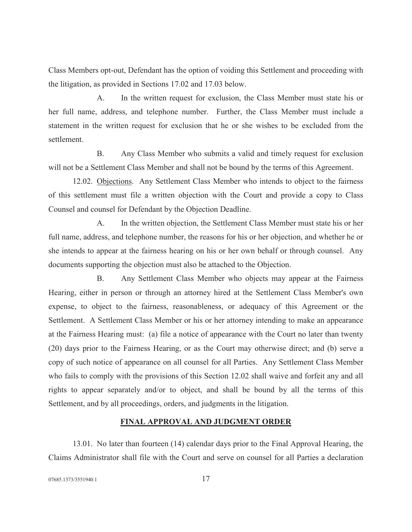Class Members opt-out, Defendant has the option of voiding this Settlement and proceeding with the litigation, as provided in Sections 17.02 and 17.03 below.

A. In the written request for exclusion, the Class Member must state his or her full name, address, and telephone number. Further, the Class Member must include a statement in the written request for exclusion that he or she wishes to be excluded from the settlement.

B. Any Class Member who submits a valid and timely request for exclusion will not be a Settlement Class Member and shall not be bound by the terms of this Agreement.

12.02. Objections. Any Settlement Class Member who intends to object to the fairness of this settlement must file a written objection with the Court and provide a copy to Class Counsel and counsel for Defendant by the Objection Deadline.

A. In the written objection, the Settlement Class Member must state his or her full name, address, and telephone number, the reasons for his or her objection, and whether he or she intends to appear at the fairness hearing on his or her own behalf or through counsel. Any documents supporting the objection must also be attached to the Objection.

B. Any Settlement Class Member who objects may appear at the Fairness Hearing, either in person or through an attorney hired at the Settlement Class Member's own expense, to object to the fairness, reasonableness, or adequacy of this Agreement or the Settlement. A Settlement Class Member or his or her attorney intending to make an appearance at the Fairness Hearing must: (a) file a notice of appearance with the Court no later than twenty (20) days prior to the Fairness Hearing, or as the Court may otherwise direct; and (b) serve a copy of such notice of appearance on all counsel for all Parties. Any Settlement Class Member who fails to comply with the provisions of this Section 12.02 shall waive and forfeit any and all rights to appear separately and/or to object, and shall be bound by all the terms of this Settlement, and by all proceedings, orders, and judgments in the litigation.

# FINAL APPROVAL AND JUDGMENT ORDER

13.01. No later than fourteen (14) calendar days prior to the Final Approval Hearing, the Claims Administrator shall file with the Court and serve on counsel for all Parties a declaration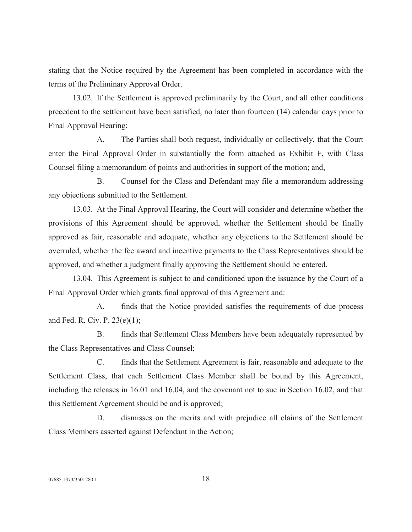stating that the Notice required by the Agreement has been completed in accordance with the terms of the Preliminary Approval Order.

13.02. If the Settlement is approved preliminarily by the Court, and all other conditions precedent to the settlement have been satisfied, no later than fourteen (14) calendar days prior to Final Approval Hearing:

A. The Parties shall both request, individually or collectively, that the Court enter the Final Approval Order in substantially the form attached as Exhibit F, with Class Counsel filing a memorandum of points and authorities in support of the motion; and,

B. Counsel for the Class and Defendant may file a memorandum addressing any objections submitted to the Settlement.

13.03. At the Final Approval Hearing, the Court will consider and determine whether the provisions of this Agreement should be approved, whether the Settlement should be finally approved as fair, reasonable and adequate, whether any objections to the Settlement should be overruled, whether the fee award and incentive payments to the Class Representatives should be approved, and whether a judgment finally approving the Settlement should be entered.

13.04. This Agreement is subject to and conditioned upon the issuance by the Court of a Final Approval Order which grants final approval of this Agreement and:

A. finds that the Notice provided satisfies the requirements of due process and Fed. R. Civ. P. 23(e)(1);

B. finds that Settlement Class Members have been adequately represented by the Class Representatives and Class Counsel;

C. finds that the Settlement Agreement is fair, reasonable and adequate to the Settlement Class, that each Settlement Class Member shall be bound by this Agreement, including the releases in 16.01 and 16.04, and the covenant not to sue in Section 16.02, and that this Settlement Agreement should be and is approved;

D. dismisses on the merits and with prejudice all claims of the Settlement Class Members asserted against Defendant in the Action;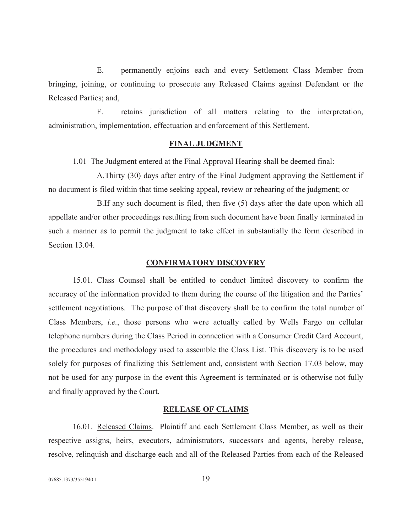E. permanently enjoins each and every Settlement Class Member from bringing, joining, or continuing to prosecute any Released Claims against Defendant or the Released Parties; and,

F. retains jurisdiction of all matters relating to the interpretation, administration, implementation, effectuation and enforcement of this Settlement.

### FINAL JUDGMENT

1.01 The Judgment entered at the Final Approval Hearing shall be deemed final:

A.Thirty (30) days after entry of the Final Judgment approving the Settlement if no document is filed within that time seeking appeal, review or rehearing of the judgment; or

B.If any such document is filed, then five (5) days after the date upon which all appellate and/or other proceedings resulting from such document have been finally terminated in such a manner as to permit the judgment to take effect in substantially the form described in Section 13.04.

#### CONFIRMATORY DISCOVERY

15.01. Class Counsel shall be entitled to conduct limited discovery to confirm the accuracy of the information provided to them during the course of the litigation and the Parties' settlement negotiations. The purpose of that discovery shall be to confirm the total number of Class Members, i.e., those persons who were actually called by Wells Fargo on cellular telephone numbers during the Class Period in connection with a Consumer Credit Card Account, the procedures and methodology used to assemble the Class List. This discovery is to be used solely for purposes of finalizing this Settlement and, consistent with Section 17.03 below, may not be used for any purpose in the event this Agreement is terminated or is otherwise not fully and finally approved by the Court.

### RELEASE OF CLAIMS

16.01. Released Claims. Plaintiff and each Settlement Class Member, as well as their respective assigns, heirs, executors, administrators, successors and agents, hereby release, resolve, relinquish and discharge each and all of the Released Parties from each of the Released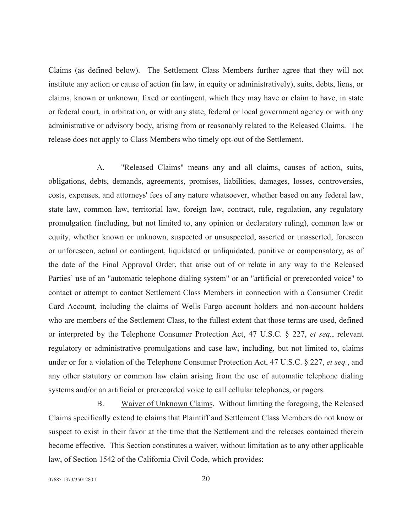Claims (as defined below). The Settlement Class Members further agree that they will not institute any action or cause of action (in law, in equity or administratively), suits, debts, liens, or claims, known or unknown, fixed or contingent, which they may have or claim to have, in state or federal court, in arbitration, or with any state, federal or local government agency or with any administrative or advisory body, arising from or reasonably related to the Released Claims. The release does not apply to Class Members who timely opt-out of the Settlement.

A. "Released Claims" means any and all claims, causes of action, suits, obligations, debts, demands, agreements, promises, liabilities, damages, losses, controversies, costs, expenses, and attorneys' fees of any nature whatsoever, whether based on any federal law, state law, common law, territorial law, foreign law, contract, rule, regulation, any regulatory promulgation (including, but not limited to, any opinion or declaratory ruling), common law or equity, whether known or unknown, suspected or unsuspected, asserted or unasserted, foreseen or unforeseen, actual or contingent, liquidated or unliquidated, punitive or compensatory, as of the date of the Final Approval Order, that arise out of or relate in any way to the Released Parties' use of an "automatic telephone dialing system" or an "artificial or prerecorded voice" to contact or attempt to contact Settlement Class Members in connection with a Consumer Credit Card Account, including the claims of Wells Fargo account holders and non-account holders who are members of the Settlement Class, to the fullest extent that those terms are used, defined or interpreted by the Telephone Consumer Protection Act, 47 U.S.C. § 227, et seq., relevant regulatory or administrative promulgations and case law, including, but not limited to, claims under or for a violation of the Telephone Consumer Protection Act, 47 U.S.C. § 227, et seq., and any other statutory or common law claim arising from the use of automatic telephone dialing systems and/or an artificial or prerecorded voice to call cellular telephones, or pagers.

B. Waiver of Unknown Claims. Without limiting the foregoing, the Released Claims specifically extend to claims that Plaintiff and Settlement Class Members do not know or suspect to exist in their favor at the time that the Settlement and the releases contained therein become effective. This Section constitutes a waiver, without limitation as to any other applicable law, of Section 1542 of the California Civil Code, which provides: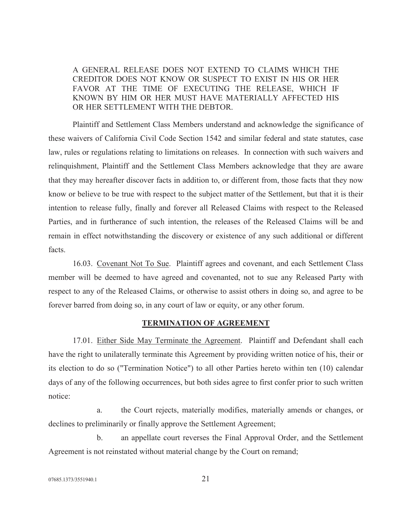A GENERAL RELEASE DOES NOT EXTEND TO CLAIMS WHICH THE CREDITOR DOES NOT KNOW OR SUSPECT TO EXIST IN HIS OR HER FAVOR AT THE TIME OF EXECUTING THE RELEASE, WHICH IF KNOWN BY HIM OR HER MUST HAVE MATERIALLY AFFECTED HIS OR HER SETTLEMENT WITH THE DEBTOR.

Plaintiff and Settlement Class Members understand and acknowledge the significance of these waivers of California Civil Code Section 1542 and similar federal and state statutes, case law, rules or regulations relating to limitations on releases. In connection with such waivers and relinquishment, Plaintiff and the Settlement Class Members acknowledge that they are aware that they may hereafter discover facts in addition to, or different from, those facts that they now know or believe to be true with respect to the subject matter of the Settlement, but that it is their intention to release fully, finally and forever all Released Claims with respect to the Released Parties, and in furtherance of such intention, the releases of the Released Claims will be and remain in effect notwithstanding the discovery or existence of any such additional or different facts.

16.03. Covenant Not To Sue. Plaintiff agrees and covenant, and each Settlement Class member will be deemed to have agreed and covenanted, not to sue any Released Party with respect to any of the Released Claims, or otherwise to assist others in doing so, and agree to be forever barred from doing so, in any court of law or equity, or any other forum.

# TERMINATION OF AGREEMENT

17.01. Either Side May Terminate the Agreement. Plaintiff and Defendant shall each have the right to unilaterally terminate this Agreement by providing written notice of his, their or its election to do so ("Termination Notice") to all other Parties hereto within ten (10) calendar days of any of the following occurrences, but both sides agree to first confer prior to such written notice:

a. the Court rejects, materially modifies, materially amends or changes, or declines to preliminarily or finally approve the Settlement Agreement;

b. an appellate court reverses the Final Approval Order, and the Settlement Agreement is not reinstated without material change by the Court on remand;

07685.1373/3551940.1 21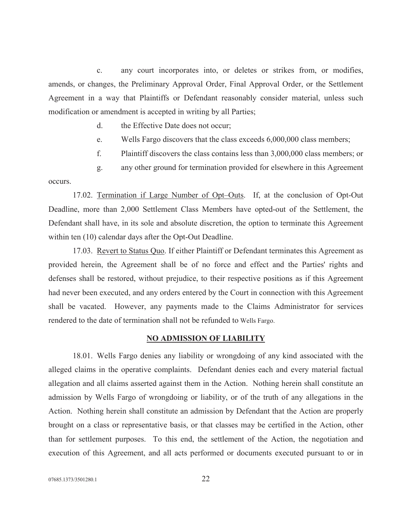c. any court incorporates into, or deletes or strikes from, or modifies, amends, or changes, the Preliminary Approval Order, Final Approval Order, or the Settlement Agreement in a way that Plaintiffs or Defendant reasonably consider material, unless such modification or amendment is accepted in writing by all Parties;

- d. the Effective Date does not occur;
- e. Wells Fargo discovers that the class exceeds 6,000,000 class members;
- f. Plaintiff discovers the class contains less than 3,000,000 class members; or

g. any other ground for termination provided for elsewhere in this Agreement occurs.

17.02. Termination if Large Number of Opt–Outs. If, at the conclusion of Opt-Out Deadline, more than 2,000 Settlement Class Members have opted-out of the Settlement, the Defendant shall have, in its sole and absolute discretion, the option to terminate this Agreement within ten (10) calendar days after the Opt-Out Deadline.

17.03. Revert to Status Quo. If either Plaintiff or Defendant terminates this Agreement as provided herein, the Agreement shall be of no force and effect and the Parties' rights and defenses shall be restored, without prejudice, to their respective positions as if this Agreement had never been executed, and any orders entered by the Court in connection with this Agreement shall be vacated. However, any payments made to the Claims Administrator for services rendered to the date of termination shall not be refunded to Wells Fargo.

#### NO ADMISSION OF LIABILITY

18.01. Wells Fargo denies any liability or wrongdoing of any kind associated with the alleged claims in the operative complaints. Defendant denies each and every material factual allegation and all claims asserted against them in the Action. Nothing herein shall constitute an admission by Wells Fargo of wrongdoing or liability, or of the truth of any allegations in the Action. Nothing herein shall constitute an admission by Defendant that the Action are properly brought on a class or representative basis, or that classes may be certified in the Action, other than for settlement purposes. To this end, the settlement of the Action, the negotiation and execution of this Agreement, and all acts performed or documents executed pursuant to or in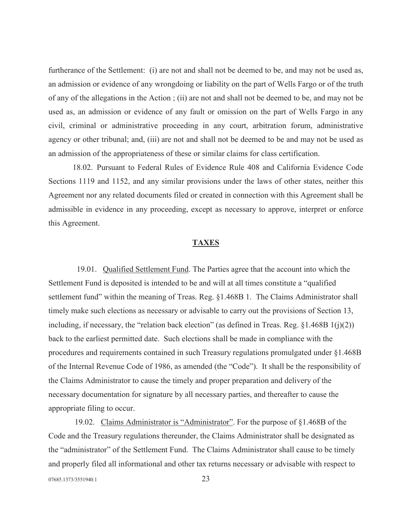furtherance of the Settlement: (i) are not and shall not be deemed to be, and may not be used as, an admission or evidence of any wrongdoing or liability on the part of Wells Fargo or of the truth of any of the allegations in the Action ; (ii) are not and shall not be deemed to be, and may not be used as, an admission or evidence of any fault or omission on the part of Wells Fargo in any civil, criminal or administrative proceeding in any court, arbitration forum, administrative agency or other tribunal; and, (iii) are not and shall not be deemed to be and may not be used as an admission of the appropriateness of these or similar claims for class certification.

18.02. Pursuant to Federal Rules of Evidence Rule 408 and California Evidence Code Sections 1119 and 1152, and any similar provisions under the laws of other states, neither this Agreement nor any related documents filed or created in connection with this Agreement shall be admissible in evidence in any proceeding, except as necessary to approve, interpret or enforce this Agreement.

#### TAXES

 19.01. Qualified Settlement Fund. The Parties agree that the account into which the Settlement Fund is deposited is intended to be and will at all times constitute a "qualified settlement fund" within the meaning of Treas. Reg. §1.468B 1. The Claims Administrator shall timely make such elections as necessary or advisable to carry out the provisions of Section 13, including, if necessary, the "relation back election" (as defined in Treas. Reg.  $\S1.468B1(i)(2)$ ) back to the earliest permitted date. Such elections shall be made in compliance with the procedures and requirements contained in such Treasury regulations promulgated under §1.468B of the Internal Revenue Code of 1986, as amended (the "Code"). It shall be the responsibility of the Claims Administrator to cause the timely and proper preparation and delivery of the necessary documentation for signature by all necessary parties, and thereafter to cause the appropriate filing to occur.

07685.1373/3551940.1 23 19.02. Claims Administrator is "Administrator". For the purpose of §1.468B of the Code and the Treasury regulations thereunder, the Claims Administrator shall be designated as the "administrator" of the Settlement Fund. The Claims Administrator shall cause to be timely and properly filed all informational and other tax returns necessary or advisable with respect to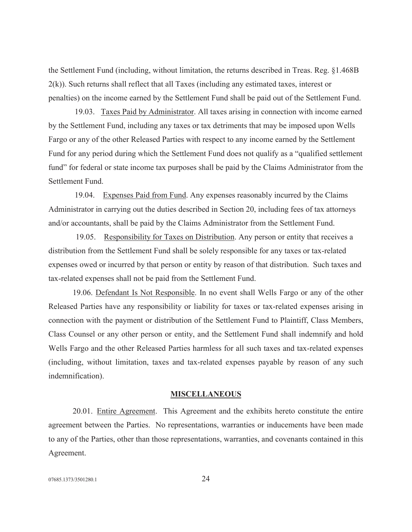the Settlement Fund (including, without limitation, the returns described in Treas. Reg. §1.468B 2(k)). Such returns shall reflect that all Taxes (including any estimated taxes, interest or penalties) on the income earned by the Settlement Fund shall be paid out of the Settlement Fund.

 19.03. Taxes Paid by Administrator. All taxes arising in connection with income earned by the Settlement Fund, including any taxes or tax detriments that may be imposed upon Wells Fargo or any of the other Released Parties with respect to any income earned by the Settlement Fund for any period during which the Settlement Fund does not qualify as a "qualified settlement fund" for federal or state income tax purposes shall be paid by the Claims Administrator from the Settlement Fund.

 19.04. Expenses Paid from Fund. Any expenses reasonably incurred by the Claims Administrator in carrying out the duties described in Section 20, including fees of tax attorneys and/or accountants, shall be paid by the Claims Administrator from the Settlement Fund.

19.05. Responsibility for Taxes on Distribution. Any person or entity that receives a distribution from the Settlement Fund shall be solely responsible for any taxes or tax-related expenses owed or incurred by that person or entity by reason of that distribution. Such taxes and tax-related expenses shall not be paid from the Settlement Fund.

19.06. Defendant Is Not Responsible. In no event shall Wells Fargo or any of the other Released Parties have any responsibility or liability for taxes or tax-related expenses arising in connection with the payment or distribution of the Settlement Fund to Plaintiff, Class Members, Class Counsel or any other person or entity, and the Settlement Fund shall indemnify and hold Wells Fargo and the other Released Parties harmless for all such taxes and tax-related expenses (including, without limitation, taxes and tax-related expenses payable by reason of any such indemnification).

#### MISCELLANEOUS

20.01. Entire Agreement. This Agreement and the exhibits hereto constitute the entire agreement between the Parties. No representations, warranties or inducements have been made to any of the Parties, other than those representations, warranties, and covenants contained in this Agreement.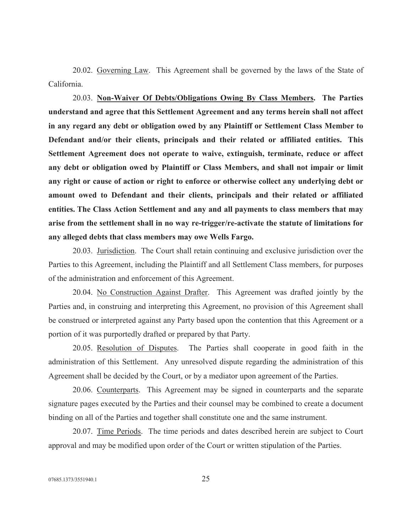20.02. Governing Law. This Agreement shall be governed by the laws of the State of California.

20.03. Non-Waiver Of Debts/Obligations Owing By Class Members. The Parties understand and agree that this Settlement Agreement and any terms herein shall not affect in any regard any debt or obligation owed by any Plaintiff or Settlement Class Member to Defendant and/or their clients, principals and their related or affiliated entities. This Settlement Agreement does not operate to waive, extinguish, terminate, reduce or affect any debt or obligation owed by Plaintiff or Class Members, and shall not impair or limit any right or cause of action or right to enforce or otherwise collect any underlying debt or amount owed to Defendant and their clients, principals and their related or affiliated entities. The Class Action Settlement and any and all payments to class members that may arise from the settlement shall in no way re-trigger/re-activate the statute of limitations for any alleged debts that class members may owe Wells Fargo.

20.03. Jurisdiction. The Court shall retain continuing and exclusive jurisdiction over the Parties to this Agreement, including the Plaintiff and all Settlement Class members, for purposes of the administration and enforcement of this Agreement.

20.04. No Construction Against Drafter. This Agreement was drafted jointly by the Parties and, in construing and interpreting this Agreement, no provision of this Agreement shall be construed or interpreted against any Party based upon the contention that this Agreement or a portion of it was purportedly drafted or prepared by that Party.

20.05. Resolution of Disputes. The Parties shall cooperate in good faith in the administration of this Settlement. Any unresolved dispute regarding the administration of this Agreement shall be decided by the Court, or by a mediator upon agreement of the Parties.

20.06. Counterparts. This Agreement may be signed in counterparts and the separate signature pages executed by the Parties and their counsel may be combined to create a document binding on all of the Parties and together shall constitute one and the same instrument.

20.07. Time Periods. The time periods and dates described herein are subject to Court approval and may be modified upon order of the Court or written stipulation of the Parties.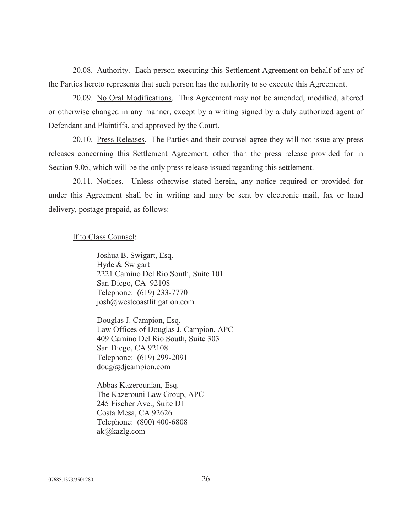20.08. Authority. Each person executing this Settlement Agreement on behalf of any of the Parties hereto represents that such person has the authority to so execute this Agreement.

20.09. No Oral Modifications. This Agreement may not be amended, modified, altered or otherwise changed in any manner, except by a writing signed by a duly authorized agent of Defendant and Plaintiffs, and approved by the Court.

20.10. Press Releases. The Parties and their counsel agree they will not issue any press releases concerning this Settlement Agreement, other than the press release provided for in Section 9.05, which will be the only press release issued regarding this settlement.

20.11. Notices. Unless otherwise stated herein, any notice required or provided for under this Agreement shall be in writing and may be sent by electronic mail, fax or hand delivery, postage prepaid, as follows:

### If to Class Counsel:

Joshua B. Swigart, Esq. Hyde & Swigart 2221 Camino Del Rio South, Suite 101 San Diego, CA 92108 Telephone: (619) 233-7770 josh@westcoastlitigation.com

Douglas J. Campion, Esq. Law Offices of Douglas J. Campion, APC 409 Camino Del Rio South, Suite 303 San Diego, CA 92108 Telephone: (619) 299-2091 doug@djcampion.com

Abbas Kazerounian, Esq. The Kazerouni Law Group, APC 245 Fischer Ave., Suite D1 Costa Mesa, CA 92626 Telephone: (800) 400-6808 ak@kazlg.com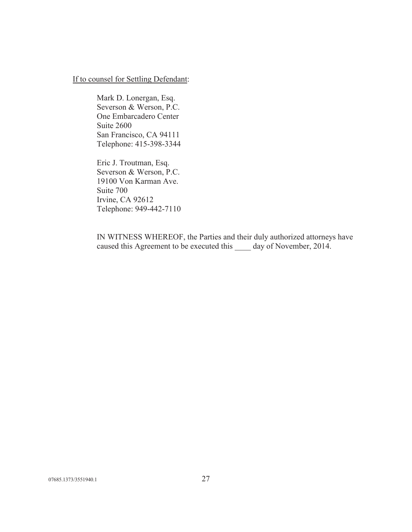# If to counsel for Settling Defendant:

Mark D. Lonergan, Esq. Severson & Werson, P.C. One Embarcadero Center Suite 2600 San Francisco, CA 94111 Telephone: 415-398-3344

Eric J. Troutman, Esq. Severson & Werson, P.C. 19100 Von Karman Ave. Suite 700 Irvine, CA 92612 Telephone: 949-442-7110

IN WITNESS WHEREOF, the Parties and their duly authorized attorneys have caused this Agreement to be executed this \_\_\_\_ day of November, 2014.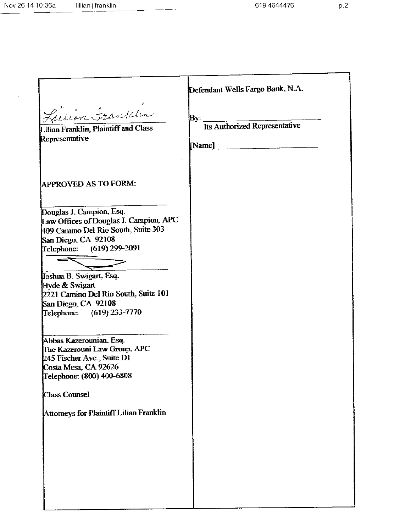$\mathcal{A}^{\pm}$ 

| Lucion Franklin                                                                                                                                                                                                                                                                                                                                                                                                                                                                                                         | Defendant Wells Fargo Bank, N.A.     |
|-------------------------------------------------------------------------------------------------------------------------------------------------------------------------------------------------------------------------------------------------------------------------------------------------------------------------------------------------------------------------------------------------------------------------------------------------------------------------------------------------------------------------|--------------------------------------|
| Lilian Franklin, Plaintiff and Class                                                                                                                                                                                                                                                                                                                                                                                                                                                                                    | By:<br>Its Authorized Representative |
| Representative                                                                                                                                                                                                                                                                                                                                                                                                                                                                                                          |                                      |
| <b>APPROVED AS TO FORM:</b>                                                                                                                                                                                                                                                                                                                                                                                                                                                                                             |                                      |
| Douglas J. Campion, Esq.<br>Law Offices of Douglas J. Campion, APC<br>409 Camino Del Rio South, Suite 303<br>San Diego, CA 92108<br>Telephone: (619) 299-2091<br>Joshua B. Swigart, Esq.<br>Hyde & Swigart<br>2221 Camino Del Rio South, Suite 101<br>San Diego, CA 92108<br>Telephone: (619) 233-7770<br>Abbas Kazerounian, Esq.<br>The Kazerouni Law Group, APC<br>245 Fischer Ave., Suite D1<br>Costa Mesa, CA 92626<br>Telephone: (800) 400-6808<br><b>Class Counsel</b><br>Attorneys for Plaintiff Lilian Franklin |                                      |
|                                                                                                                                                                                                                                                                                                                                                                                                                                                                                                                         |                                      |

J.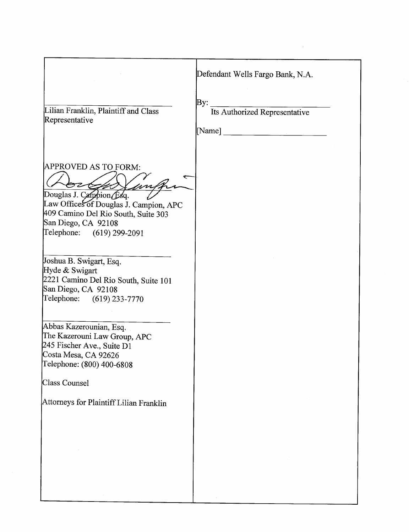|                                                                                                                                                                                      | Defendant Wells Fargo Bank, N.A.                                                                                                                                        |
|--------------------------------------------------------------------------------------------------------------------------------------------------------------------------------------|-------------------------------------------------------------------------------------------------------------------------------------------------------------------------|
| Lilian Franklin, Plaintiff and Class<br>Representative                                                                                                                               | By:<br>Its Authorized Representative<br>[Name]<br><u> 1980 - Johann Stoff, deutscher Stoff, der Stoff, der Stoff, der Stoff, der Stoff, der Stoff, der Stoff, der S</u> |
| APPROVED AS TO FORM:<br>Douglas J. Campion Esq.<br>Law Offices of Douglas J. Campion, APC<br>409 Camino Del Rio South, Suite 303<br>San Diego, CA 92108<br>Telephone: (619) 299-2091 |                                                                                                                                                                         |
| Joshua B. Swigart, Esq.<br>Hyde & Swigart<br>2221 Camino Del Rio South, Suite 101<br>San Diego, CA 92108<br>Telephone: (619) 233-7770                                                |                                                                                                                                                                         |
| Abbas Kazerounian, Esq.<br>The Kazerouni Law Group, APC<br>245 Fischer Ave., Suite D1<br>Costa Mesa, CA 92626<br>Telephone: (800) 400-6808<br>Class Counsel                          |                                                                                                                                                                         |
| Attorneys for Plaintiff Lilian Franklin                                                                                                                                              |                                                                                                                                                                         |
|                                                                                                                                                                                      |                                                                                                                                                                         |

 $\mathcal{L}^{\mathcal{L}}$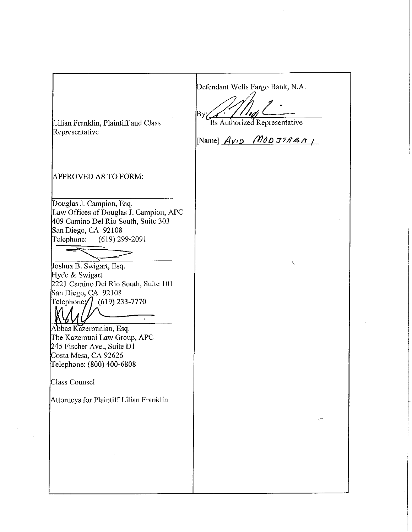| Defendant Wells Fargo Bank, N.A.<br>Bу.<br>Its Authorized Representative<br>[Name] $A$ <i>v</i> <sub>1</sub> $\circ$ <i>MOD JTABA</i> <sub>1</sub> |
|----------------------------------------------------------------------------------------------------------------------------------------------------|
|                                                                                                                                                    |
| Ñ,                                                                                                                                                 |
|                                                                                                                                                    |
| بعقي                                                                                                                                               |
|                                                                                                                                                    |